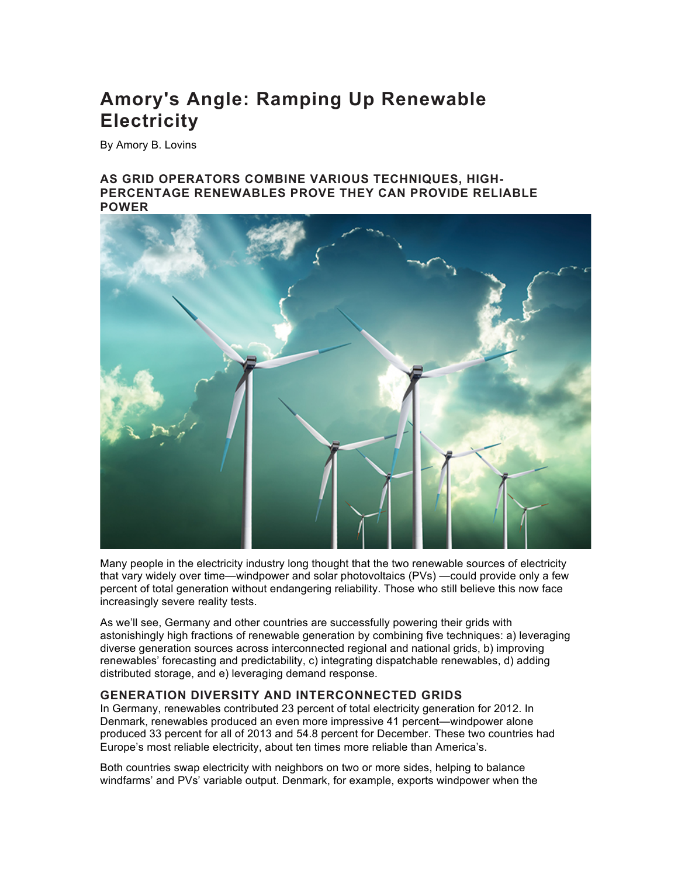# **Amory's Angle: Ramping Up Renewable Electricity**

By Amory B. Lovins

## **AS GRID OPERATORS COMBINE VARIOUS TECHNIQUES, HIGH-PERCENTAGE RENEWABLES PROVE THEY CAN PROVIDE RELIABLE POWER**



Many people in the electricity industry long thought that the two renewable sources of electricity that vary widely over time—windpower and solar photovoltaics (PVs) —could provide only a few percent of total generation without endangering reliability. Those who still believe this now face increasingly severe reality tests.

As we'll see, Germany and other countries are successfully powering their grids with astonishingly high fractions of renewable generation by combining five techniques: a) leveraging diverse generation sources across interconnected regional and national grids, b) improving renewables' forecasting and predictability, c) integrating dispatchable renewables, d) adding distributed storage, and e) leveraging demand response.

# **GENERATION DIVERSITY AND INTERCONNECTED GRIDS**

In Germany, renewables contributed 23 percent of total electricity generation for 2012. In Denmark, renewables produced an even more impressive 41 percent—windpower alone produced 33 percent for all of 2013 and 54.8 percent for December. These two countries had Europe's most reliable electricity, about ten times more reliable than America's.

Both countries swap electricity with neighbors on two or more sides, helping to balance windfarms' and PVs' variable output. Denmark, for example, exports windpower when the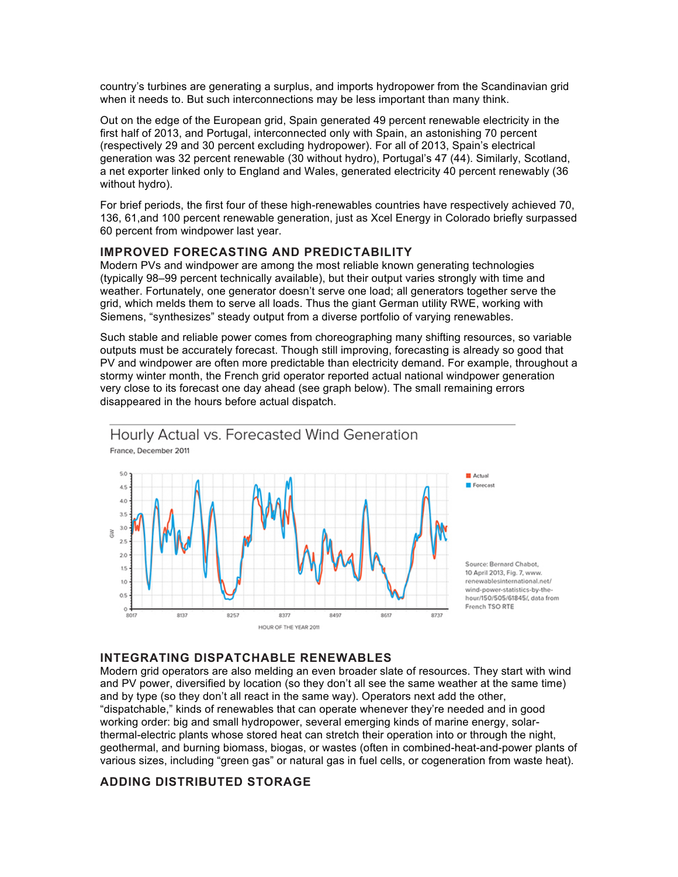country's turbines are generating a surplus, and imports hydropower from the Scandinavian grid when it needs to. But such interconnections may be less important than many think.

Out on the edge of the European grid, Spain generated 49 percent renewable electricity in the first half of 2013, and Portugal, interconnected only with Spain, an astonishing 70 percent (respectively 29 and 30 percent excluding hydropower). For all of 2013, Spain's electrical generation was 32 percent renewable (30 without hydro), Portugal's 47 (44). Similarly, Scotland, a net exporter linked only to England and Wales, generated electricity 40 percent renewably (36 without hydro).

For brief periods, the first four of these high-renewables countries have respectively achieved 70, 136, 61,and 100 percent renewable generation, just as Xcel Energy in Colorado briefly surpassed 60 percent from windpower last year.

#### **IMPROVED FORECASTING AND PREDICTABILITY**

Modern PVs and windpower are among the most reliable known generating technologies (typically 98–99 percent technically available), but their output varies strongly with time and weather. Fortunately, one generator doesn't serve one load; all generators together serve the grid, which melds them to serve all loads. Thus the giant German utility RWE, working with Siemens, "synthesizes" steady output from a diverse portfolio of varying renewables.

Such stable and reliable power comes from choreographing many shifting resources, so variable outputs must be accurately forecast. Though still improving, forecasting is already so good that PV and windpower are often more predictable than electricity demand. For example, throughout a stormy winter month, the French grid operator reported actual national windpower generation very close to its forecast one day ahead (see graph below). The small remaining errors disappeared in the hours before actual dispatch.



#### **INTEGRATING DISPATCHABLE RENEWABLES**

Modern grid operators are also melding an even broader slate of resources. They start with wind and PV power, diversified by location (so they don't all see the same weather at the same time) and by type (so they don't all react in the same way). Operators next add the other, "dispatchable," kinds of renewables that can operate whenever they're needed and in good working order: big and small hydropower, several emerging kinds of marine energy, solarthermal-electric plants whose stored heat can stretch their operation into or through the night, geothermal, and burning biomass, biogas, or wastes (often in combined-heat-and-power plants of various sizes, including "green gas" or natural gas in fuel cells, or cogeneration from waste heat).

## **ADDING DISTRIBUTED STORAGE**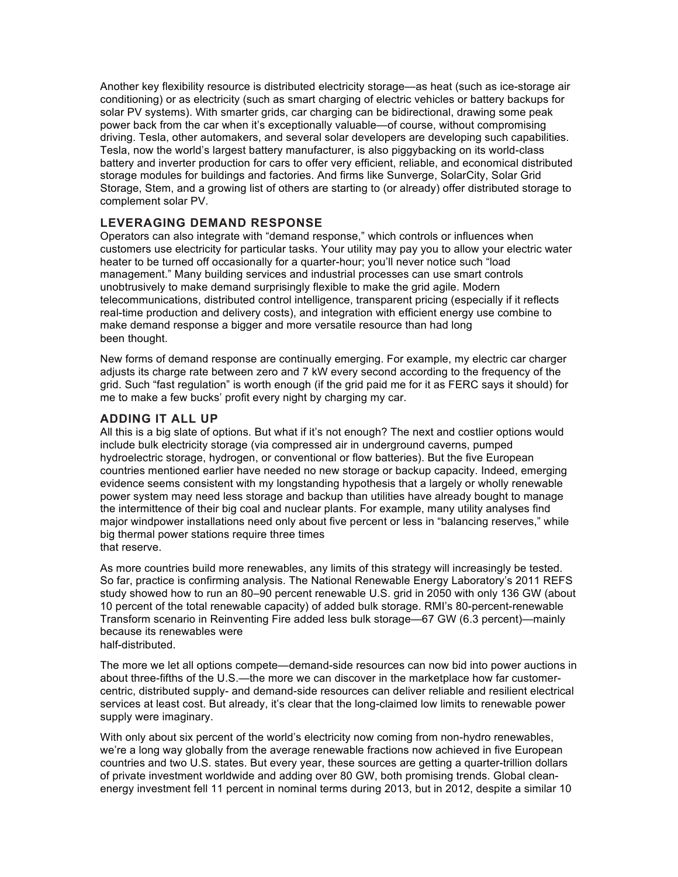Another key flexibility resource is distributed electricity storage—as heat (such as ice-storage air conditioning) or as electricity (such as smart charging of electric vehicles or battery backups for solar PV systems). With smarter grids, car charging can be bidirectional, drawing some peak power back from the car when it's exceptionally valuable—of course, without compromising driving. Tesla, other automakers, and several solar developers are developing such capabilities. Tesla, now the world's largest battery manufacturer, is also piggybacking on its world-class battery and inverter production for cars to offer very efficient, reliable, and economical distributed storage modules for buildings and factories. And firms like Sunverge, SolarCity, Solar Grid Storage, Stem, and a growing list of others are starting to (or already) offer distributed storage to complement solar PV.

# **LEVERAGING DEMAND RESPONSE**

Operators can also integrate with "demand response," which controls or influences when customers use electricity for particular tasks. Your utility may pay you to allow your electric water heater to be turned off occasionally for a quarter-hour; you'll never notice such "load management." Many building services and industrial processes can use smart controls unobtrusively to make demand surprisingly flexible to make the grid agile. Modern telecommunications, distributed control intelligence, transparent pricing (especially if it reflects real-time production and delivery costs), and integration with efficient energy use combine to make demand response a bigger and more versatile resource than had long been thought.

New forms of demand response are continually emerging. For example, my electric car charger adjusts its charge rate between zero and 7 kW every second according to the frequency of the grid. Such "fast regulation" is worth enough (if the grid paid me for it as FERC says it should) for me to make a few bucks' profit every night by charging my car.

## **ADDING IT ALL UP**

All this is a big slate of options. But what if it's not enough? The next and costlier options would include bulk electricity storage (via compressed air in underground caverns, pumped hydroelectric storage, hydrogen, or conventional or flow batteries). But the five European countries mentioned earlier have needed no new storage or backup capacity. Indeed, emerging evidence seems consistent with my longstanding hypothesis that a largely or wholly renewable power system may need less storage and backup than utilities have already bought to manage the intermittence of their big coal and nuclear plants. For example, many utility analyses find major windpower installations need only about five percent or less in "balancing reserves," while big thermal power stations require three times that reserve.

As more countries build more renewables, any limits of this strategy will increasingly be tested. So far, practice is confirming analysis. The National Renewable Energy Laboratory's 2011 REFS study showed how to run an 80–90 percent renewable U.S. grid in 2050 with only 136 GW (about 10 percent of the total renewable capacity) of added bulk storage. RMI's 80-percent-renewable Transform scenario in Reinventing Fire added less bulk storage—67 GW (6.3 percent)—mainly because its renewables were half-distributed.

The more we let all options compete—demand-side resources can now bid into power auctions in about three-fifths of the U.S.—the more we can discover in the marketplace how far customercentric, distributed supply- and demand-side resources can deliver reliable and resilient electrical services at least cost. But already, it's clear that the long-claimed low limits to renewable power supply were imaginary.

With only about six percent of the world's electricity now coming from non-hydro renewables, we're a long way globally from the average renewable fractions now achieved in five European countries and two U.S. states. But every year, these sources are getting a quarter-trillion dollars of private investment worldwide and adding over 80 GW, both promising trends. Global cleanenergy investment fell 11 percent in nominal terms during 2013, but in 2012, despite a similar 10